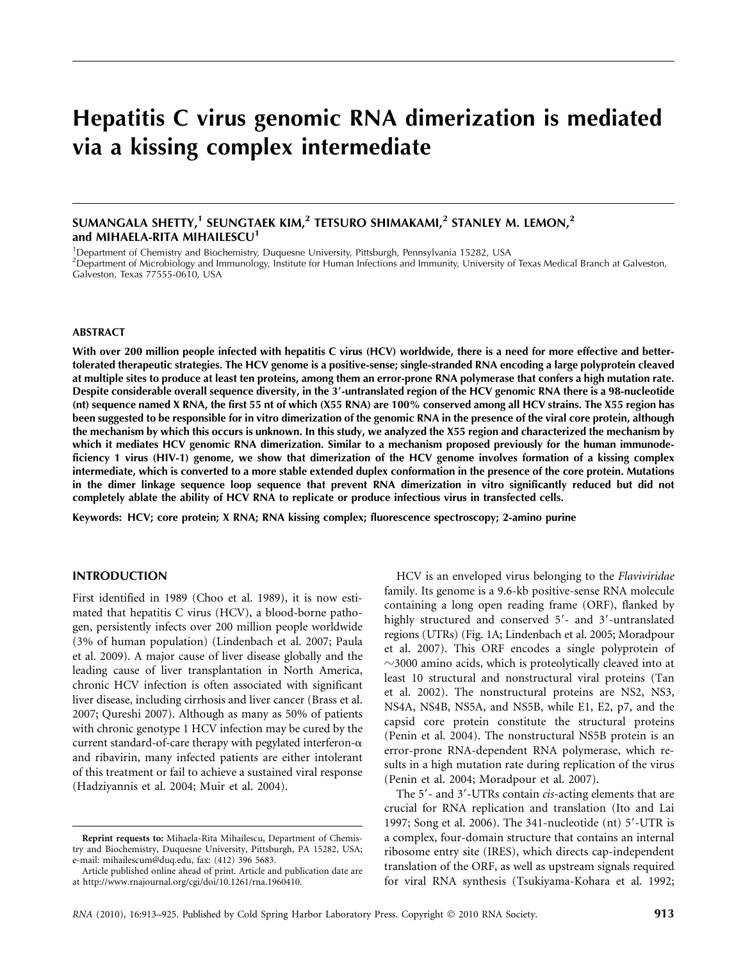# Hepatitis C virus genomic RNA dimerization is mediated via a kissing complex intermediate

## SUMANGALA SHETTY,<sup>1</sup> SEUNGTAEK KIM,<sup>2</sup> TETSURO SHIMAKAMI,<sup>2</sup> STANLEY M. LEMON,<sup>2</sup> and MIHAELA-RITA MIHAILESCU<sup>1</sup>

<sup>1</sup>Department of Chemistry and Biochemistry, Duquesne University, Pittsburgh, Pennsylvania 15282, USA 2 Department of Microbiology and Immunology, Institute for Human Infections and Immunity, University of Texas Medical Branch at Galveston,

#### ABSTRACT

Galveston, Texas 77555-0610, USA

With over 200 million people infected with hepatitis C virus (HCV) worldwide, there is a need for more effective and bettertolerated therapeutic strategies. The HCV genome is a positive-sense; single-stranded RNA encoding a large polyprotein cleaved at multiple sites to produce at least ten proteins, among them an error-prone RNA polymerase that confers a high mutation rate. Despite considerable overall sequence diversity, in the 3'-untranslated region of the HCV genomic RNA there is a 98-nucleotide (nt) sequence named X RNA, the first 55 nt of which (X55 RNA) are 100% conserved among all HCV strains. The X55 region has been suggested to be responsible for in vitro dimerization of the genomic RNA in the presence of the viral core protein, although the mechanism by which this occurs is unknown. In this study, we analyzed the X55 region and characterized the mechanism by which it mediates HCV genomic RNA dimerization. Similar to a mechanism proposed previously for the human immunodeficiency 1 virus (HIV-1) genome, we show that dimerization of the HCV genome involves formation of a kissing complex intermediate, which is converted to a more stable extended duplex conformation in the presence of the core protein. Mutations in the dimer linkage sequence loop sequence that prevent RNA dimerization in vitro significantly reduced but did not completely ablate the ability of HCV RNA to replicate or produce infectious virus in transfected cells.

Keywords: HCV; core protein; X RNA; RNA kissing complex; fluorescence spectroscopy; 2-amino purine

#### INTRODUCTION

First identified in 1989 (Choo et al. 1989), it is now estimated that hepatitis C virus (HCV), a blood-borne pathogen, persistently infects over 200 million people worldwide (3% of human population) (Lindenbach et al. 2007; Paula et al. 2009). A major cause of liver disease globally and the leading cause of liver transplantation in North America, chronic HCV infection is often associated with significant liver disease, including cirrhosis and liver cancer (Brass et al. 2007; Qureshi 2007). Although as many as 50% of patients with chronic genotype 1 HCV infection may be cured by the current standard-of-care therapy with pegylated interferon- $\alpha$ and ribavirin, many infected patients are either intolerant of this treatment or fail to achieve a sustained viral response (Hadziyannis et al. 2004; Muir et al. 2004).

HCV is an enveloped virus belonging to the Flaviviridae family. Its genome is a 9.6-kb positive-sense RNA molecule containing a long open reading frame (ORF), flanked by highly structured and conserved 5'- and 3'-untranslated regions (UTRs) (Fig. 1A; Lindenbach et al. 2005; Moradpour et al. 2007). This ORF encodes a single polyprotein of  $\sim$ 3000 amino acids, which is proteolytically cleaved into at least 10 structural and nonstructural viral proteins (Tan et al. 2002). The nonstructural proteins are NS2, NS3, NS4A, NS4B, NS5A, and NS5B, while E1, E2, p7, and the capsid core protein constitute the structural proteins (Penin et al. 2004). The nonstructural NS5B protein is an error-prone RNA-dependent RNA polymerase, which results in a high mutation rate during replication of the virus (Penin et al. 2004; Moradpour et al. 2007).

The 5'- and 3'-UTRs contain *cis*-acting elements that are crucial for RNA replication and translation (Ito and Lai 1997; Song et al. 2006). The  $341$ -nucleotide (nt)  $5'$ -UTR is a complex, four-domain structure that contains an internal ribosome entry site (IRES), which directs cap-independent translation of the ORF, as well as upstream signals required for viral RNA synthesis (Tsukiyama-Kohara et al. 1992;

Reprint requests to: Mihaela-Rita Mihailescu, Department of Chemistry and Biochemistry, Duquesne University, Pittsburgh, PA 15282, USA; e-mail: mihailescum@duq.edu, fax: (412) 396 5683.

Article published online ahead of print. Article and publication date are at http://www.rnajournal.org/cgi/doi/10.1261/rna.1960410.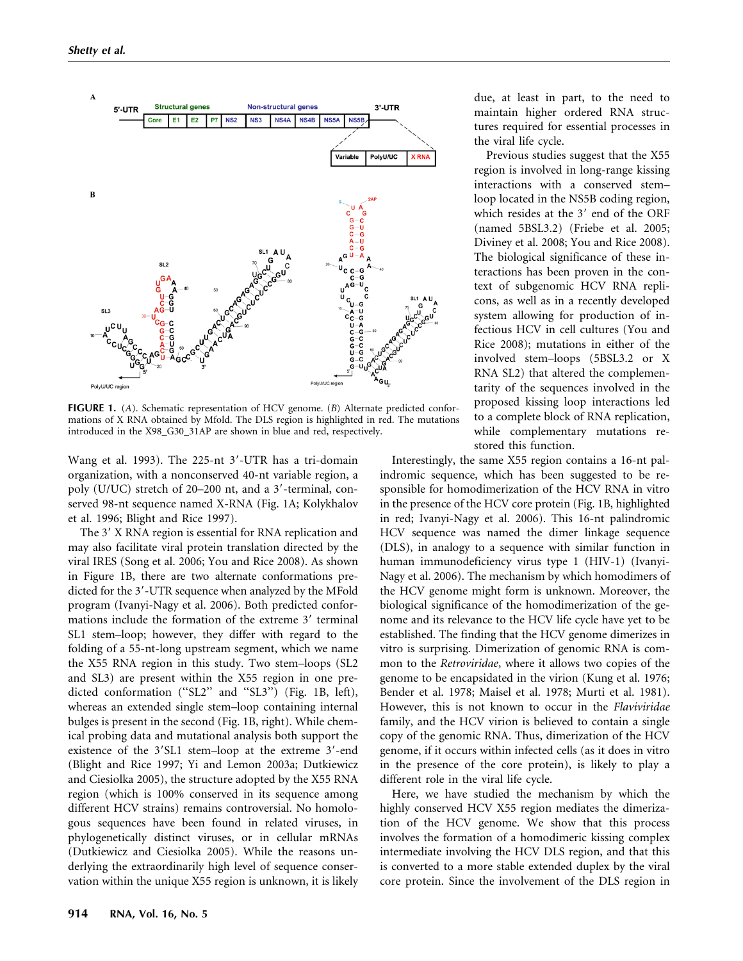

**FIGURE 1.** (A). Schematic representation of HCV genome.  $(B)$  Alternate predicted conformations of X RNA obtained by Mfold. The DLS region is highlighted in red. The mutations introduced in the X98\_G30\_31AP are shown in blue and red, respectively.

Wang et al. 1993). The  $225$ -nt  $3'$ -UTR has a tri-domain organization, with a nonconserved 40-nt variable region, a poly (U/UC) stretch of  $20-200$  nt, and a 3'-terminal, conserved 98-nt sequence named X-RNA (Fig. 1A; Kolykhalov et al. 1996; Blight and Rice 1997).

The 3' X RNA region is essential for RNA replication and may also facilitate viral protein translation directed by the viral IRES (Song et al. 2006; You and Rice 2008). As shown in Figure 1B, there are two alternate conformations predicted for the 3'-UTR sequence when analyzed by the MFold program (Ivanyi-Nagy et al. 2006). Both predicted conformations include the formation of the extreme 3' terminal SL1 stem–loop; however, they differ with regard to the folding of a 55-nt-long upstream segment, which we name the X55 RNA region in this study. Two stem–loops (SL2 and SL3) are present within the X55 region in one predicted conformation ("SL2" and "SL3") (Fig. 1B, left), whereas an extended single stem–loop containing internal bulges is present in the second (Fig. 1B, right). While chemical probing data and mutational analysis both support the existence of the 3'SL1 stem-loop at the extreme 3'-end (Blight and Rice 1997; Yi and Lemon 2003a; Dutkiewicz and Ciesiolka 2005), the structure adopted by the X55 RNA region (which is 100% conserved in its sequence among different HCV strains) remains controversial. No homologous sequences have been found in related viruses, in phylogenetically distinct viruses, or in cellular mRNAs (Dutkiewicz and Ciesiolka 2005). While the reasons underlying the extraordinarily high level of sequence conservation within the unique X55 region is unknown, it is likely due, at least in part, to the need to maintain higher ordered RNA structures required for essential processes in the viral life cycle.

Previous studies suggest that the X55 region is involved in long-range kissing interactions with a conserved stem– loop located in the NS5B coding region, which resides at the 3' end of the ORF (named 5BSL3.2) (Friebe et al. 2005; Diviney et al. 2008; You and Rice 2008). The biological significance of these interactions has been proven in the context of subgenomic HCV RNA replicons, as well as in a recently developed system allowing for production of infectious HCV in cell cultures (You and Rice 2008); mutations in either of the involved stem–loops (5BSL3.2 or X RNA SL2) that altered the complementarity of the sequences involved in the proposed kissing loop interactions led to a complete block of RNA replication, while complementary mutations restored this function.

Interestingly, the same X55 region contains a 16-nt palindromic sequence, which has been suggested to be responsible for homodimerization of the HCV RNA in vitro in the presence of the HCV core protein (Fig. 1B, highlighted in red; Ivanyi-Nagy et al. 2006). This 16-nt palindromic HCV sequence was named the dimer linkage sequence (DLS), in analogy to a sequence with similar function in human immunodeficiency virus type 1 (HIV-1) (Ivanyi-Nagy et al. 2006). The mechanism by which homodimers of the HCV genome might form is unknown. Moreover, the biological significance of the homodimerization of the genome and its relevance to the HCV life cycle have yet to be established. The finding that the HCV genome dimerizes in vitro is surprising. Dimerization of genomic RNA is common to the Retroviridae, where it allows two copies of the genome to be encapsidated in the virion (Kung et al. 1976; Bender et al. 1978; Maisel et al. 1978; Murti et al. 1981). However, this is not known to occur in the Flaviviridae family, and the HCV virion is believed to contain a single copy of the genomic RNA. Thus, dimerization of the HCV genome, if it occurs within infected cells (as it does in vitro in the presence of the core protein), is likely to play a different role in the viral life cycle.

Here, we have studied the mechanism by which the highly conserved HCV X55 region mediates the dimerization of the HCV genome. We show that this process involves the formation of a homodimeric kissing complex intermediate involving the HCV DLS region, and that this is converted to a more stable extended duplex by the viral core protein. Since the involvement of the DLS region in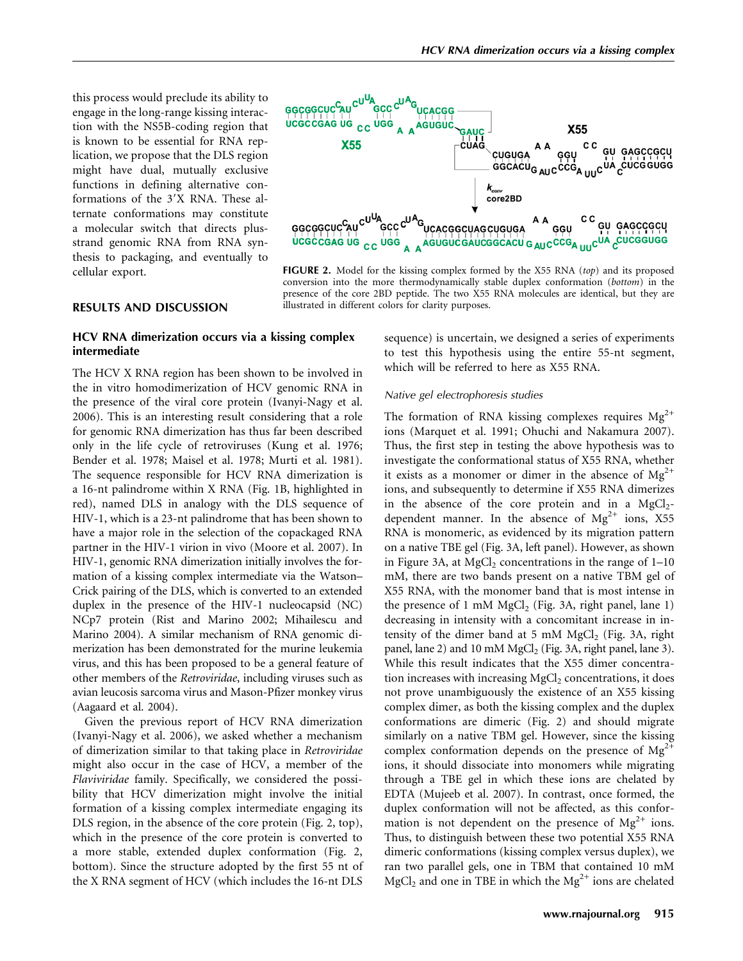this process would preclude its ability to engage in the long-range kissing interaction with the NS5B-coding region that is known to be essential for RNA replication, we propose that the DLS region might have dual, mutually exclusive functions in defining alternative conformations of the 3'X RNA. These alternate conformations may constitute a molecular switch that directs plusstrand genomic RNA from RNA synthesis to packaging, and eventually to cellular export.



FIGURE 2. Model for the kissing complex formed by the X55 RNA  $(top)$  and its proposed conversion into the more thermodynamically stable duplex conformation (bottom) in the presence of the core 2BD peptide. The two X55 RNA molecules are identical, but they are illustrated in different colors for clarity purposes.

#### RESULTS AND DISCUSSION

## HCV RNA dimerization occurs via a kissing complex intermediate

The HCV X RNA region has been shown to be involved in the in vitro homodimerization of HCV genomic RNA in the presence of the viral core protein (Ivanyi-Nagy et al. 2006). This is an interesting result considering that a role for genomic RNA dimerization has thus far been described only in the life cycle of retroviruses (Kung et al. 1976; Bender et al. 1978; Maisel et al. 1978; Murti et al. 1981). The sequence responsible for HCV RNA dimerization is a 16-nt palindrome within X RNA (Fig. 1B, highlighted in red), named DLS in analogy with the DLS sequence of HIV-1, which is a 23-nt palindrome that has been shown to have a major role in the selection of the copackaged RNA partner in the HIV-1 virion in vivo (Moore et al. 2007). In HIV-1, genomic RNA dimerization initially involves the formation of a kissing complex intermediate via the Watson– Crick pairing of the DLS, which is converted to an extended duplex in the presence of the HIV-1 nucleocapsid (NC) NCp7 protein (Rist and Marino 2002; Mihailescu and Marino 2004). A similar mechanism of RNA genomic dimerization has been demonstrated for the murine leukemia virus, and this has been proposed to be a general feature of other members of the Retroviridae, including viruses such as avian leucosis sarcoma virus and Mason-Pfizer monkey virus (Aagaard et al. 2004).

Given the previous report of HCV RNA dimerization (Ivanyi-Nagy et al. 2006), we asked whether a mechanism of dimerization similar to that taking place in Retroviridae might also occur in the case of HCV, a member of the Flaviviridae family. Specifically, we considered the possibility that HCV dimerization might involve the initial formation of a kissing complex intermediate engaging its DLS region, in the absence of the core protein (Fig. 2, top), which in the presence of the core protein is converted to a more stable, extended duplex conformation (Fig. 2, bottom). Since the structure adopted by the first 55 nt of the X RNA segment of HCV (which includes the 16-nt DLS

sequence) is uncertain, we designed a series of experiments to test this hypothesis using the entire 55-nt segment, which will be referred to here as X55 RNA.

#### Native gel electrophoresis studies

The formation of RNA kissing complexes requires  $Mg^{2+}$ ions (Marquet et al. 1991; Ohuchi and Nakamura 2007). Thus, the first step in testing the above hypothesis was to investigate the conformational status of X55 RNA, whether it exists as a monomer or dimer in the absence of  $Mg^{2+}$ ions, and subsequently to determine if X55 RNA dimerizes in the absence of the core protein and in a  $MgCl<sub>2</sub>$ dependent manner. In the absence of  $Mg^{2+}$  ions, X55 RNA is monomeric, as evidenced by its migration pattern on a native TBE gel (Fig. 3A, left panel). However, as shown in Figure 3A, at MgCl<sub>2</sub> concentrations in the range of  $1-10$ mM, there are two bands present on a native TBM gel of X55 RNA, with the monomer band that is most intense in the presence of 1 mM  $MgCl<sub>2</sub>$  (Fig. 3A, right panel, lane 1) decreasing in intensity with a concomitant increase in intensity of the dimer band at 5 mM  $MgCl<sub>2</sub>$  (Fig. 3A, right panel, lane 2) and 10 mM  $MgCl<sub>2</sub>$  (Fig. 3A, right panel, lane 3). While this result indicates that the X55 dimer concentration increases with increasing  $MgCl<sub>2</sub>$  concentrations, it does not prove unambiguously the existence of an X55 kissing complex dimer, as both the kissing complex and the duplex conformations are dimeric (Fig. 2) and should migrate similarly on a native TBM gel. However, since the kissing complex conformation depends on the presence of  $Mg^{2+}$ ions, it should dissociate into monomers while migrating through a TBE gel in which these ions are chelated by EDTA (Mujeeb et al. 2007). In contrast, once formed, the duplex conformation will not be affected, as this conformation is not dependent on the presence of  $Mg^{2+}$  ions. Thus, to distinguish between these two potential X55 RNA dimeric conformations (kissing complex versus duplex), we ran two parallel gels, one in TBM that contained 10 mM  $MgCl<sub>2</sub>$  and one in TBE in which the  $Mg<sup>2+</sup>$  ions are chelated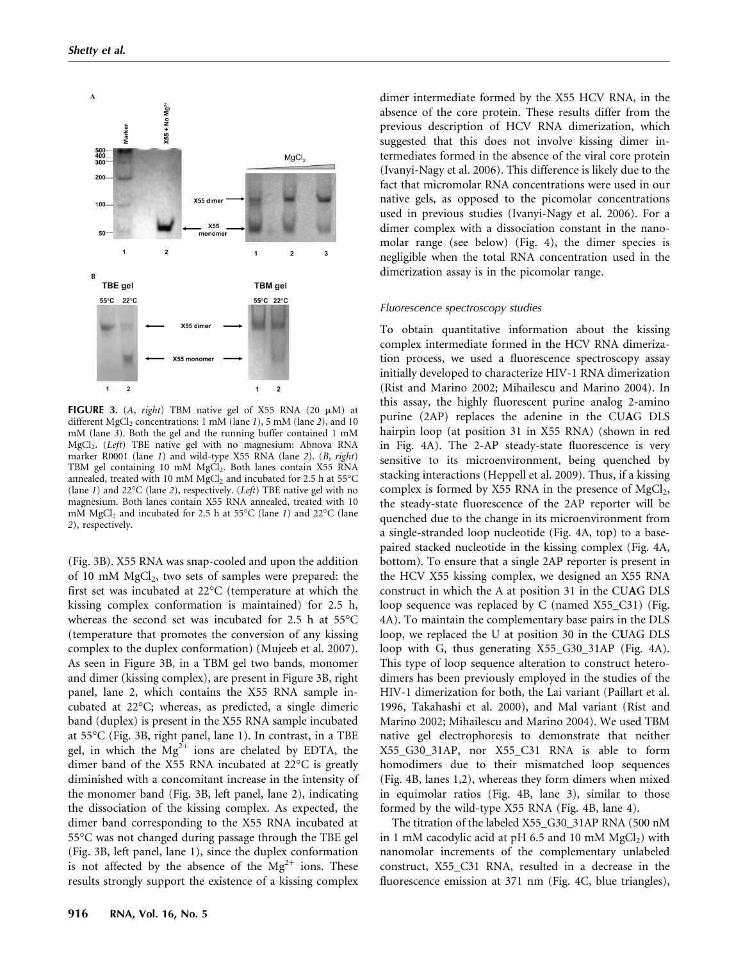

FIGURE 3. (A, right) TBM native gel of X55 RNA (20  $\mu$ M) at different  $MgCl<sub>2</sub>$  concentrations: 1 mM (lane 1), 5 mM (lane 2), and 10 mM (lane 3). Both the gel and the running buffer contained 1 mM MgCl<sub>2</sub>. (Left) TBE native gel with no magnesium: Abnova RNA marker R0001 (lane 1) and wild-type X55 RNA (lane 2). (B, right) TBM gel containing 10 mM MgCl<sub>2</sub>. Both lanes contain X55 RNA annealed, treated with 10 mM  $MgCl<sub>2</sub>$  and incubated for 2.5 h at 55°C (lane 1) and  $22^{\circ}$ C (lane 2), respectively. (*Left*) TBE native gel with no magnesium. Both lanes contain X55 RNA annealed, treated with 10 mM MgCl<sub>2</sub> and incubated for 2.5 h at 55°C (lane 1) and 22°C (lane 2), respectively.

(Fig. 3B). X55 RNA was snap-cooled and upon the addition of 10 mM  $MgCl<sub>2</sub>$ , two sets of samples were prepared: the first set was incubated at 22°C (temperature at which the kissing complex conformation is maintained) for 2.5 h, whereas the second set was incubated for 2.5 h at 55°C (temperature that promotes the conversion of any kissing complex to the duplex conformation) (Mujeeb et al. 2007). As seen in Figure 3B, in a TBM gel two bands, monomer and dimer (kissing complex), are present in Figure 3B, right panel, lane 2, which contains the X55 RNA sample incubated at 22°C; whereas, as predicted, a single dimeric band (duplex) is present in the X55 RNA sample incubated at 55°C (Fig. 3B, right panel, lane 1). In contrast, in a TBE gel, in which the  $Mg^{2+}$  ions are chelated by EDTA, the dimer band of the X55 RNA incubated at 22°C is greatly diminished with a concomitant increase in the intensity of the monomer band (Fig. 3B, left panel, lane 2), indicating the dissociation of the kissing complex. As expected, the dimer band corresponding to the X55 RNA incubated at 55°C was not changed during passage through the TBE gel (Fig. 3B, left panel, lane 1), since the duplex conformation is not affected by the absence of the  $Mg^{2+}$  ions. These results strongly support the existence of a kissing complex

dimer intermediate formed by the X55 HCV RNA, in the absence of the core protein. These results differ from the previous description of HCV RNA dimerization, which suggested that this does not involve kissing dimer intermediates formed in the absence of the viral core protein (Ivanyi-Nagy et al. 2006). This difference is likely due to the fact that micromolar RNA concentrations were used in our native gels, as opposed to the picomolar concentrations used in previous studies (Ivanyi-Nagy et al. 2006). For a dimer complex with a dissociation constant in the nanomolar range (see below) (Fig. 4), the dimer species is negligible when the total RNA concentration used in the dimerization assay is in the picomolar range.

#### Fluorescence spectroscopy studies

To obtain quantitative information about the kissing complex intermediate formed in the HCV RNA dimerization process, we used a fluorescence spectroscopy assay initially developed to characterize HIV-1 RNA dimerization (Rist and Marino 2002; Mihailescu and Marino 2004). In this assay, the highly fluorescent purine analog 2-amino purine (2AP) replaces the adenine in the CUAG DLS hairpin loop (at position 31 in X55 RNA) (shown in red in Fig. 4A). The 2-AP steady-state fluorescence is very sensitive to its microenvironment, being quenched by stacking interactions (Heppell et al. 2009). Thus, if a kissing complex is formed by  $X55$  RNA in the presence of MgCl<sub>2</sub>, the steady-state fluorescence of the 2AP reporter will be quenched due to the change in its microenvironment from a single-stranded loop nucleotide (Fig. 4A, top) to a basepaired stacked nucleotide in the kissing complex (Fig. 4A, bottom). To ensure that a single 2AP reporter is present in the HCV X55 kissing complex, we designed an X55 RNA construct in which the A at position 31 in the CUAG DLS loop sequence was replaced by C (named X55\_C31) (Fig. 4A). To maintain the complementary base pairs in the DLS loop, we replaced the U at position 30 in the CUAG DLS loop with G, thus generating X55\_G30\_31AP (Fig. 4A). This type of loop sequence alteration to construct heterodimers has been previously employed in the studies of the HIV-1 dimerization for both, the Lai variant (Paillart et al. 1996, Takahashi et al. 2000), and Mal variant (Rist and Marino 2002; Mihailescu and Marino 2004). We used TBM native gel electrophoresis to demonstrate that neither X55\_G30\_31AP, nor X55\_C31 RNA is able to form homodimers due to their mismatched loop sequences (Fig. 4B, lanes 1,2), whereas they form dimers when mixed in equimolar ratios (Fig. 4B, lane 3), similar to those formed by the wild-type X55 RNA (Fig. 4B, lane 4).

The titration of the labeled X55\_G30\_31AP RNA (500 nM in 1 mM cacodylic acid at pH 6.5 and 10 mM  $MgCl<sub>2</sub>$ ) with nanomolar increments of the complementary unlabeled construct, X55\_C31 RNA, resulted in a decrease in the fluorescence emission at 371 nm (Fig. 4C, blue triangles),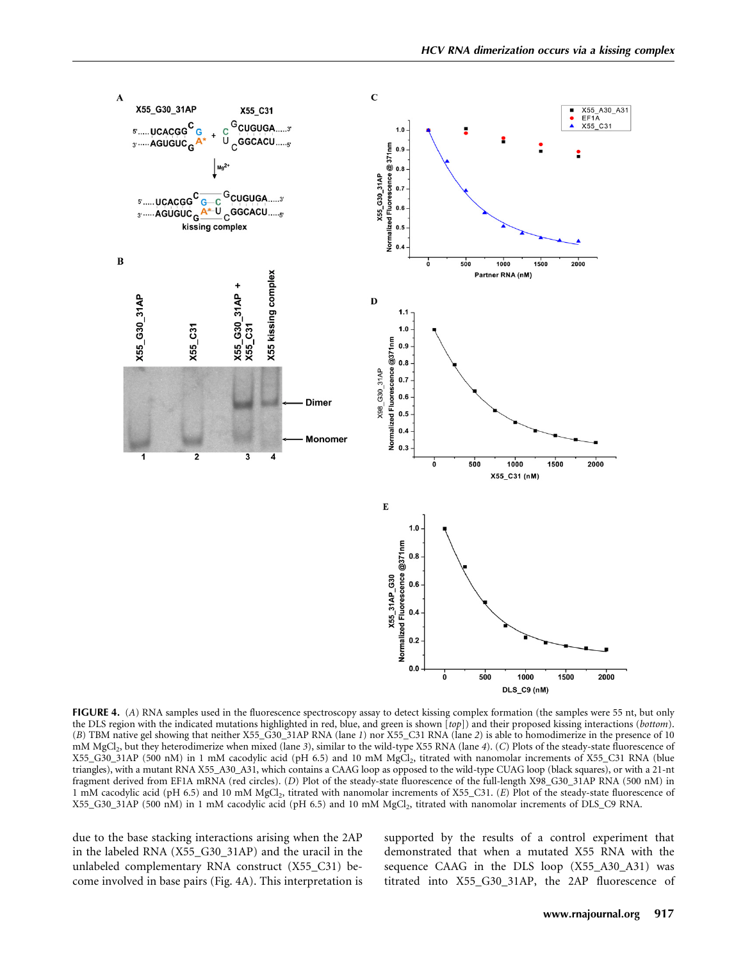

FIGURE 4. (A) RNA samples used in the fluorescence spectroscopy assay to detect kissing complex formation (the samples were 55 nt, but only the DLS region with the indicated mutations highlighted in red, blue, and green is shown [top]) and their proposed kissing interactions (bottom). (B) TBM native gel showing that neither X55\_G30\_31AP RNA (lane 1) nor X55\_C31 RNA (lane 2) is able to homodimerize in the presence of 10 mM MgCl<sub>2</sub>, but they heterodimerize when mixed (lane 3), similar to the wild-type X55 RNA (lane 4). (C) Plots of the steady-state fluorescence of X55\_G30\_31AP (500 nM) in 1 mM cacodylic acid (pH 6.5) and 10 mM MgCl2, titrated with nanomolar increments of X55\_C31 RNA (blue triangles), with a mutant RNA X55\_A30\_A31, which contains a CAAG loop as opposed to the wild-type CUAG loop (black squares), or with a 21-nt fragment derived from EF1A mRNA (red circles). (D) Plot of the steady-state fluorescence of the full-length X98\_G30\_31AP RNA (500 nM) in 1 mM cacodylic acid (pH 6.5) and 10 mM MgCl<sub>2</sub>, titrated with nanomolar increments of X55\_C31. (E) Plot of the steady-state fluorescence of X55 G30 31AP (500 nM) in 1 mM cacodylic acid (pH 6.5) and 10 mM MgCl<sub>2</sub>, titrated with nanomolar increments of DLS C9 RNA.

due to the base stacking interactions arising when the 2AP in the labeled RNA (X55\_G30\_31AP) and the uracil in the unlabeled complementary RNA construct (X55\_C31) become involved in base pairs (Fig. 4A). This interpretation is supported by the results of a control experiment that demonstrated that when a mutated X55 RNA with the sequence CAAG in the DLS loop (X55\_A30\_A31) was titrated into X55\_G30\_31AP, the 2AP fluorescence of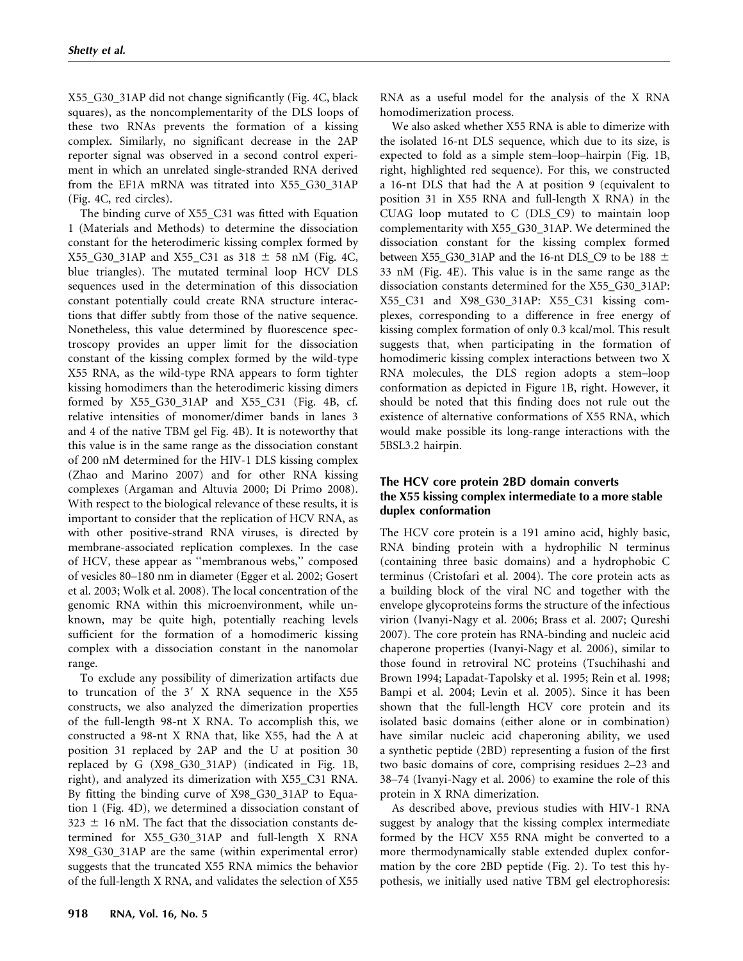X55\_G30\_31AP did not change significantly (Fig. 4C, black squares), as the noncomplementarity of the DLS loops of these two RNAs prevents the formation of a kissing complex. Similarly, no significant decrease in the 2AP reporter signal was observed in a second control experiment in which an unrelated single-stranded RNA derived from the EF1A mRNA was titrated into X55\_G30\_31AP (Fig. 4C, red circles).

The binding curve of X55\_C31 was fitted with Equation 1 (Materials and Methods) to determine the dissociation constant for the heterodimeric kissing complex formed by X55\_G30\_31AP and X55\_C31 as 318  $\pm$  58 nM (Fig. 4C, blue triangles). The mutated terminal loop HCV DLS sequences used in the determination of this dissociation constant potentially could create RNA structure interactions that differ subtly from those of the native sequence. Nonetheless, this value determined by fluorescence spectroscopy provides an upper limit for the dissociation constant of the kissing complex formed by the wild-type X55 RNA, as the wild-type RNA appears to form tighter kissing homodimers than the heterodimeric kissing dimers formed by X55\_G30\_31AP and X55\_C31 (Fig. 4B, cf. relative intensities of monomer/dimer bands in lanes 3 and 4 of the native TBM gel Fig. 4B). It is noteworthy that this value is in the same range as the dissociation constant of 200 nM determined for the HIV-1 DLS kissing complex (Zhao and Marino 2007) and for other RNA kissing complexes (Argaman and Altuvia 2000; Di Primo 2008). With respect to the biological relevance of these results, it is important to consider that the replication of HCV RNA, as with other positive-strand RNA viruses, is directed by membrane-associated replication complexes. In the case of HCV, these appear as ''membranous webs,'' composed of vesicles 80–180 nm in diameter (Egger et al. 2002; Gosert et al. 2003; Wolk et al. 2008). The local concentration of the genomic RNA within this microenvironment, while unknown, may be quite high, potentially reaching levels sufficient for the formation of a homodimeric kissing complex with a dissociation constant in the nanomolar range.

To exclude any possibility of dimerization artifacts due to truncation of the  $3'$  X RNA sequence in the X55 constructs, we also analyzed the dimerization properties of the full-length 98-nt X RNA. To accomplish this, we constructed a 98-nt X RNA that, like X55, had the A at position 31 replaced by 2AP and the U at position 30 replaced by G (X98\_G30\_31AP) (indicated in Fig. 1B, right), and analyzed its dimerization with X55\_C31 RNA. By fitting the binding curve of X98\_G30\_31AP to Equation 1 (Fig. 4D), we determined a dissociation constant of  $323 \pm 16$  nM. The fact that the dissociation constants determined for X55\_G30\_31AP and full-length X RNA X98\_G30\_31AP are the same (within experimental error) suggests that the truncated X55 RNA mimics the behavior of the full-length X RNA, and validates the selection of X55

RNA as a useful model for the analysis of the X RNA homodimerization process.

We also asked whether X55 RNA is able to dimerize with the isolated 16-nt DLS sequence, which due to its size, is expected to fold as a simple stem–loop–hairpin (Fig. 1B, right, highlighted red sequence). For this, we constructed a 16-nt DLS that had the A at position 9 (equivalent to position 31 in X55 RNA and full-length X RNA) in the CUAG loop mutated to C (DLS\_C9) to maintain loop complementarity with X55\_G30\_31AP. We determined the dissociation constant for the kissing complex formed between X55\_G30\_31AP and the 16-nt DLS\_C9 to be 188  $\pm$ 33 nM (Fig. 4E). This value is in the same range as the dissociation constants determined for the X55\_G30\_31AP: X55\_C31 and X98\_G30\_31AP: X55\_C31 kissing complexes, corresponding to a difference in free energy of kissing complex formation of only 0.3 kcal/mol. This result suggests that, when participating in the formation of homodimeric kissing complex interactions between two X RNA molecules, the DLS region adopts a stem–loop conformation as depicted in Figure 1B, right. However, it should be noted that this finding does not rule out the existence of alternative conformations of X55 RNA, which would make possible its long-range interactions with the 5BSL3.2 hairpin.

## The HCV core protein 2BD domain converts the X55 kissing complex intermediate to a more stable duplex conformation

The HCV core protein is a 191 amino acid, highly basic, RNA binding protein with a hydrophilic N terminus (containing three basic domains) and a hydrophobic C terminus (Cristofari et al. 2004). The core protein acts as a building block of the viral NC and together with the envelope glycoproteins forms the structure of the infectious virion (Ivanyi-Nagy et al. 2006; Brass et al. 2007; Qureshi 2007). The core protein has RNA-binding and nucleic acid chaperone properties (Ivanyi-Nagy et al. 2006), similar to those found in retroviral NC proteins (Tsuchihashi and Brown 1994; Lapadat-Tapolsky et al. 1995; Rein et al. 1998; Bampi et al. 2004; Levin et al. 2005). Since it has been shown that the full-length HCV core protein and its isolated basic domains (either alone or in combination) have similar nucleic acid chaperoning ability, we used a synthetic peptide (2BD) representing a fusion of the first two basic domains of core, comprising residues 2–23 and 38–74 (Ivanyi-Nagy et al. 2006) to examine the role of this protein in X RNA dimerization.

As described above, previous studies with HIV-1 RNA suggest by analogy that the kissing complex intermediate formed by the HCV X55 RNA might be converted to a more thermodynamically stable extended duplex conformation by the core 2BD peptide (Fig. 2). To test this hypothesis, we initially used native TBM gel electrophoresis: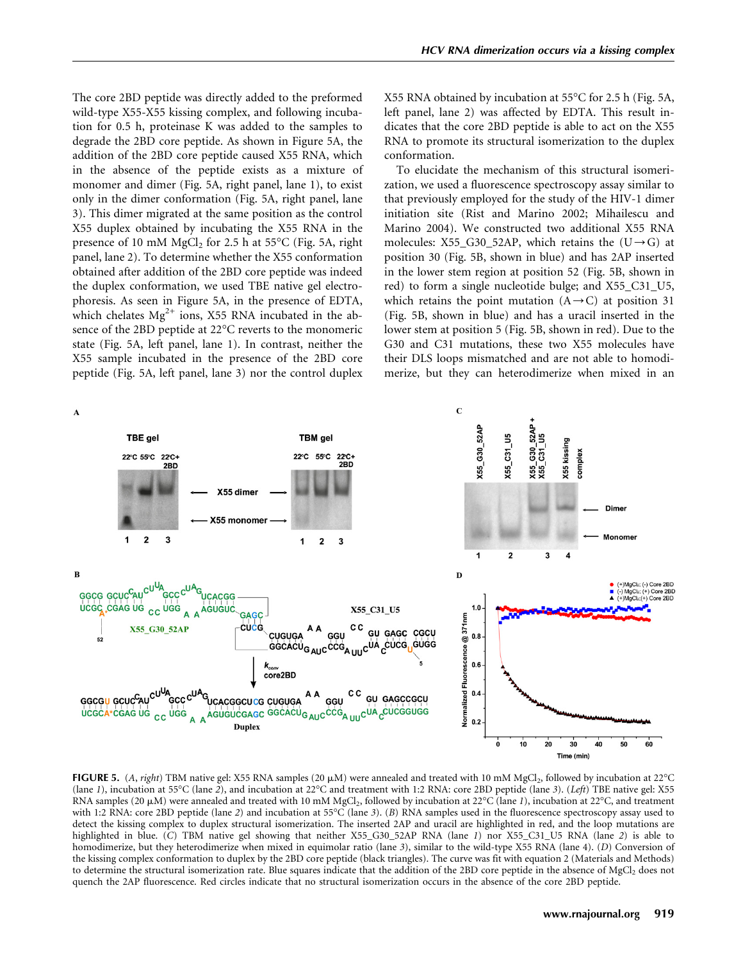The core 2BD peptide was directly added to the preformed wild-type X55-X55 kissing complex, and following incubation for 0.5 h, proteinase K was added to the samples to degrade the 2BD core peptide. As shown in Figure 5A, the addition of the 2BD core peptide caused X55 RNA, which in the absence of the peptide exists as a mixture of monomer and dimer (Fig. 5A, right panel, lane 1), to exist only in the dimer conformation (Fig. 5A, right panel, lane 3). This dimer migrated at the same position as the control X55 duplex obtained by incubating the X55 RNA in the presence of 10 mM MgCl<sub>2</sub> for 2.5 h at 55 $\mathrm{^{\circ}C}$  (Fig. 5A, right panel, lane 2). To determine whether the X55 conformation obtained after addition of the 2BD core peptide was indeed the duplex conformation, we used TBE native gel electrophoresis. As seen in Figure 5A, in the presence of EDTA, which chelates  $Mg^{2+}$  ions, X55 RNA incubated in the absence of the 2BD peptide at 22°C reverts to the monomeric state (Fig. 5A, left panel, lane 1). In contrast, neither the X55 sample incubated in the presence of the 2BD core peptide (Fig. 5A, left panel, lane 3) nor the control duplex X55 RNA obtained by incubation at 55°C for 2.5 h (Fig. 5A, left panel, lane 2) was affected by EDTA. This result indicates that the core 2BD peptide is able to act on the X55 RNA to promote its structural isomerization to the duplex conformation.

To elucidate the mechanism of this structural isomerization, we used a fluorescence spectroscopy assay similar to that previously employed for the study of the HIV-1 dimer initiation site (Rist and Marino 2002; Mihailescu and Marino 2004). We constructed two additional X55 RNA molecules: X55\_G30\_52AP, which retains the  $(U \rightarrow G)$  at position 30 (Fig. 5B, shown in blue) and has 2AP inserted in the lower stem region at position 52 (Fig. 5B, shown in red) to form a single nucleotide bulge; and X55\_C31\_U5, which retains the point mutation  $(A \rightarrow C)$  at position 31 (Fig. 5B, shown in blue) and has a uracil inserted in the lower stem at position 5 (Fig. 5B, shown in red). Due to the G30 and C31 mutations, these two X55 molecules have their DLS loops mismatched and are not able to homodimerize, but they can heterodimerize when mixed in an



FIGURE 5. (A, right) TBM native gel: X55 RNA samples (20  $\mu$ M) were annealed and treated with 10 mM MgCl<sub>2</sub>, followed by incubation at 22°C (lane 1), incubation at 55°C (lane 2), and incubation at 22°C and treatment with 1:2 RNA: core 2BD peptide (lane 3). (Left) TBE native gel: X55 RNA samples (20  $\mu$ M) were annealed and treated with 10 mM MgCl<sub>2</sub>, followed by incubation at 22°C (lane 1), incubation at 22°C, and treatment with 1:2 RNA: core 2BD peptide (lane 2) and incubation at 55°C (lane 3). (B) RNA samples used in the fluorescence spectroscopy assay used to detect the kissing complex to duplex structural isomerization. The inserted 2AP and uracil are highlighted in red, and the loop mutations are highlighted in blue. (C) TBM native gel showing that neither X55\_G30\_52AP RNA (lane 1) nor X55\_C31\_U5 RNA (lane 2) is able to homodimerize, but they heterodimerize when mixed in equimolar ratio (lane 3), similar to the wild-type X55 RNA (lane 4). (D) Conversion of the kissing complex conformation to duplex by the 2BD core peptide (black triangles). The curve was fit with equation 2 (Materials and Methods) to determine the structural isomerization rate. Blue squares indicate that the addition of the 2BD core peptide in the absence of MgCl<sub>2</sub> does not quench the 2AP fluorescence. Red circles indicate that no structural isomerization occurs in the absence of the core 2BD peptide.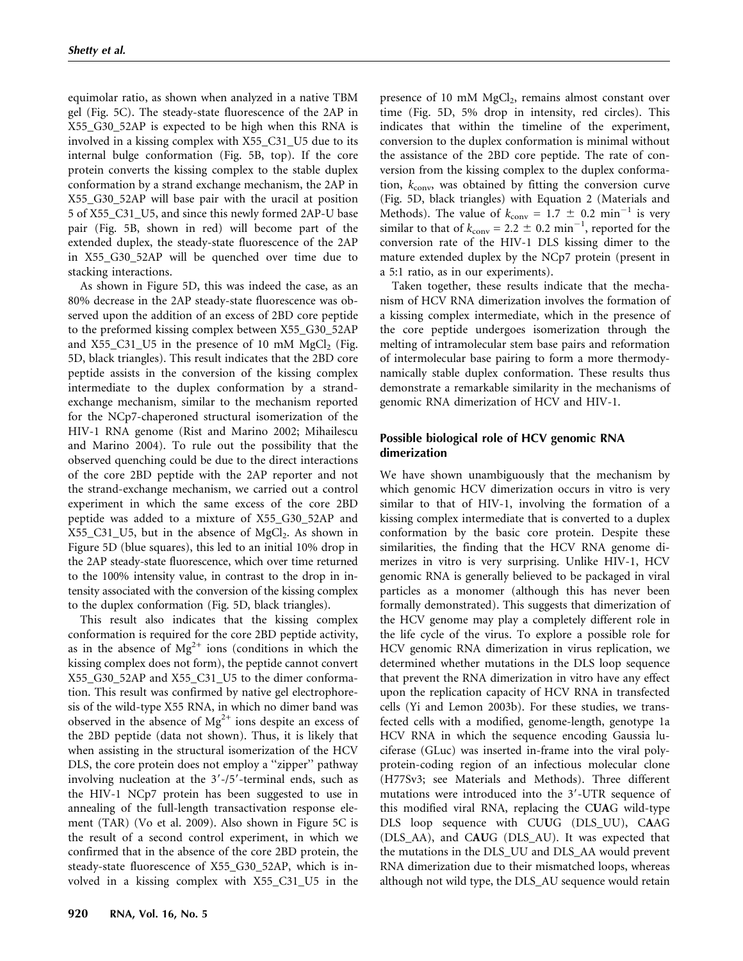equimolar ratio, as shown when analyzed in a native TBM gel (Fig. 5C). The steady-state fluorescence of the 2AP in X55\_G30\_52AP is expected to be high when this RNA is involved in a kissing complex with X55\_C31\_U5 due to its internal bulge conformation (Fig. 5B, top). If the core protein converts the kissing complex to the stable duplex conformation by a strand exchange mechanism, the 2AP in X55\_G30\_52AP will base pair with the uracil at position 5 of X55\_C31\_U5, and since this newly formed 2AP-U base pair (Fig. 5B, shown in red) will become part of the extended duplex, the steady-state fluorescence of the 2AP in X55\_G30\_52AP will be quenched over time due to stacking interactions.

As shown in Figure 5D, this was indeed the case, as an 80% decrease in the 2AP steady-state fluorescence was observed upon the addition of an excess of 2BD core peptide to the preformed kissing complex between X55\_G30\_52AP and  $X55_C31_U5$  in the presence of 10 mM MgCl<sub>2</sub> (Fig. 5D, black triangles). This result indicates that the 2BD core peptide assists in the conversion of the kissing complex intermediate to the duplex conformation by a strandexchange mechanism, similar to the mechanism reported for the NCp7-chaperoned structural isomerization of the HIV-1 RNA genome (Rist and Marino 2002; Mihailescu and Marino 2004). To rule out the possibility that the observed quenching could be due to the direct interactions of the core 2BD peptide with the 2AP reporter and not the strand-exchange mechanism, we carried out a control experiment in which the same excess of the core 2BD peptide was added to a mixture of X55\_G30\_52AP and  $X55_C31_U5$ , but in the absence of  $MgCl<sub>2</sub>$ . As shown in Figure 5D (blue squares), this led to an initial 10% drop in the 2AP steady-state fluorescence, which over time returned to the 100% intensity value, in contrast to the drop in intensity associated with the conversion of the kissing complex to the duplex conformation (Fig. 5D, black triangles).

This result also indicates that the kissing complex conformation is required for the core 2BD peptide activity, as in the absence of  $Mg^{2+}$  ions (conditions in which the kissing complex does not form), the peptide cannot convert X55\_G30\_52AP and X55\_C31\_U5 to the dimer conformation. This result was confirmed by native gel electrophoresis of the wild-type X55 RNA, in which no dimer band was observed in the absence of  $Mg^{2+}$  ions despite an excess of the 2BD peptide (data not shown). Thus, it is likely that when assisting in the structural isomerization of the HCV DLS, the core protein does not employ a ''zipper'' pathway involving nucleation at the  $3'-15'$ -terminal ends, such as the HIV-1 NCp7 protein has been suggested to use in annealing of the full-length transactivation response element (TAR) (Vo et al. 2009). Also shown in Figure 5C is the result of a second control experiment, in which we confirmed that in the absence of the core 2BD protein, the steady-state fluorescence of X55\_G30\_52AP, which is involved in a kissing complex with X55\_C31\_U5 in the presence of 10 mM  $MgCl<sub>2</sub>$ , remains almost constant over time (Fig. 5D, 5% drop in intensity, red circles). This indicates that within the timeline of the experiment, conversion to the duplex conformation is minimal without the assistance of the 2BD core peptide. The rate of conversion from the kissing complex to the duplex conformation,  $k_{\text{conv}}$ , was obtained by fitting the conversion curve (Fig. 5D, black triangles) with Equation 2 (Materials and Methods). The value of  $k_{\text{conv}} = 1.7 \pm 0.2 \text{ min}^{-1}$  is very similar to that of  $k_{\text{conv}} = 2.2 \pm 0.2 \text{ min}^{-1}$ , reported for the conversion rate of the HIV-1 DLS kissing dimer to the mature extended duplex by the NCp7 protein (present in a 5:1 ratio, as in our experiments).

Taken together, these results indicate that the mechanism of HCV RNA dimerization involves the formation of a kissing complex intermediate, which in the presence of the core peptide undergoes isomerization through the melting of intramolecular stem base pairs and reformation of intermolecular base pairing to form a more thermodynamically stable duplex conformation. These results thus demonstrate a remarkable similarity in the mechanisms of genomic RNA dimerization of HCV and HIV-1.

## Possible biological role of HCV genomic RNA dimerization

We have shown unambiguously that the mechanism by which genomic HCV dimerization occurs in vitro is very similar to that of HIV-1, involving the formation of a kissing complex intermediate that is converted to a duplex conformation by the basic core protein. Despite these similarities, the finding that the HCV RNA genome dimerizes in vitro is very surprising. Unlike HIV-1, HCV genomic RNA is generally believed to be packaged in viral particles as a monomer (although this has never been formally demonstrated). This suggests that dimerization of the HCV genome may play a completely different role in the life cycle of the virus. To explore a possible role for HCV genomic RNA dimerization in virus replication, we determined whether mutations in the DLS loop sequence that prevent the RNA dimerization in vitro have any effect upon the replication capacity of HCV RNA in transfected cells (Yi and Lemon 2003b). For these studies, we transfected cells with a modified, genome-length, genotype 1a HCV RNA in which the sequence encoding Gaussia luciferase (GLuc) was inserted in-frame into the viral polyprotein-coding region of an infectious molecular clone (H77Sv3; see Materials and Methods). Three different mutations were introduced into the  $3'$ -UTR sequence of this modified viral RNA, replacing the CUAG wild-type DLS loop sequence with CUUG (DLS\_UU), CAAG (DLS\_AA), and CAUG (DLS\_AU). It was expected that the mutations in the DLS\_UU and DLS\_AA would prevent RNA dimerization due to their mismatched loops, whereas although not wild type, the DLS\_AU sequence would retain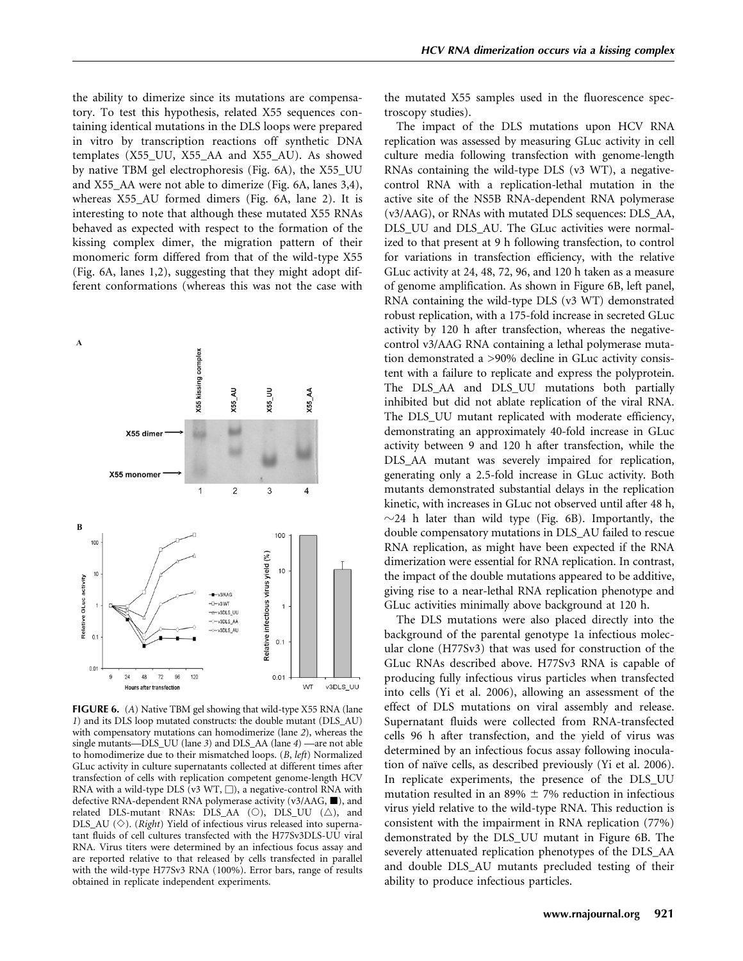the ability to dimerize since its mutations are compensatory. To test this hypothesis, related X55 sequences containing identical mutations in the DLS loops were prepared in vitro by transcription reactions off synthetic DNA templates (X55\_UU, X55\_AA and X55\_AU). As showed by native TBM gel electrophoresis (Fig. 6A), the X55\_UU and X55\_AA were not able to dimerize (Fig. 6A, lanes 3,4), whereas X55\_AU formed dimers (Fig. 6A, lane 2). It is interesting to note that although these mutated X55 RNAs behaved as expected with respect to the formation of the kissing complex dimer, the migration pattern of their monomeric form differed from that of the wild-type X55 (Fig. 6A, lanes 1,2), suggesting that they might adopt different conformations (whereas this was not the case with



FIGURE 6. (A) Native TBM gel showing that wild-type X55 RNA (lane 1) and its DLS loop mutated constructs: the double mutant (DLS\_AU) with compensatory mutations can homodimerize (lane 2), whereas the single mutants—DLS\_UU (lane 3) and DLS\_AA (lane 4) —are not able to homodimerize due to their mismatched loops. (B, left) Normalized GLuc activity in culture supernatants collected at different times after transfection of cells with replication competent genome-length HCV RNA with a wild-type DLS (v3 WT,  $\Box$ ), a negative-control RNA with defective RNA-dependent RNA polymerase activity (v3/AAG,  $\blacksquare$ ), and related DLS-mutant RNAs: DLS\_AA ( $\circ$ ), DLS\_UU ( $\triangle$ ), and DLS\_AU  $(\diamondsuit)$ . (*Right*) Yield of infectious virus released into supernatant fluids of cell cultures transfected with the H77Sv3DLS-UU viral RNA. Virus titers were determined by an infectious focus assay and are reported relative to that released by cells transfected in parallel with the wild-type H77Sv3 RNA (100%). Error bars, range of results obtained in replicate independent experiments.

the mutated X55 samples used in the fluorescence spectroscopy studies).

The impact of the DLS mutations upon HCV RNA replication was assessed by measuring GLuc activity in cell culture media following transfection with genome-length RNAs containing the wild-type DLS (v3 WT), a negativecontrol RNA with a replication-lethal mutation in the active site of the NS5B RNA-dependent RNA polymerase (v3/AAG), or RNAs with mutated DLS sequences: DLS\_AA, DLS UU and DLS AU. The GLuc activities were normalized to that present at 9 h following transfection, to control for variations in transfection efficiency, with the relative GLuc activity at 24, 48, 72, 96, and 120 h taken as a measure of genome amplification. As shown in Figure 6B, left panel, RNA containing the wild-type DLS (v3 WT) demonstrated robust replication, with a 175-fold increase in secreted GLuc activity by 120 h after transfection, whereas the negativecontrol v3/AAG RNA containing a lethal polymerase mutation demonstrated a >90% decline in GLuc activity consistent with a failure to replicate and express the polyprotein. The DLS\_AA and DLS\_UU mutations both partially inhibited but did not ablate replication of the viral RNA. The DLS UU mutant replicated with moderate efficiency, demonstrating an approximately 40-fold increase in GLuc activity between 9 and 120 h after transfection, while the DLS\_AA mutant was severely impaired for replication, generating only a 2.5-fold increase in GLuc activity. Both mutants demonstrated substantial delays in the replication kinetic, with increases in GLuc not observed until after 48 h,  $\sim$ 24 h later than wild type (Fig. 6B). Importantly, the double compensatory mutations in DLS\_AU failed to rescue RNA replication, as might have been expected if the RNA dimerization were essential for RNA replication. In contrast, the impact of the double mutations appeared to be additive, giving rise to a near-lethal RNA replication phenotype and GLuc activities minimally above background at 120 h.

The DLS mutations were also placed directly into the background of the parental genotype 1a infectious molecular clone (H77Sv3) that was used for construction of the GLuc RNAs described above. H77Sv3 RNA is capable of producing fully infectious virus particles when transfected into cells (Yi et al. 2006), allowing an assessment of the effect of DLS mutations on viral assembly and release. Supernatant fluids were collected from RNA-transfected cells 96 h after transfection, and the yield of virus was determined by an infectious focus assay following inoculation of naïve cells, as described previously (Yi et al. 2006). In replicate experiments, the presence of the DLS\_UU mutation resulted in an 89%  $\pm$  7% reduction in infectious virus yield relative to the wild-type RNA. This reduction is consistent with the impairment in RNA replication (77%) demonstrated by the DLS\_UU mutant in Figure 6B. The severely attenuated replication phenotypes of the DLS\_AA and double DLS\_AU mutants precluded testing of their ability to produce infectious particles.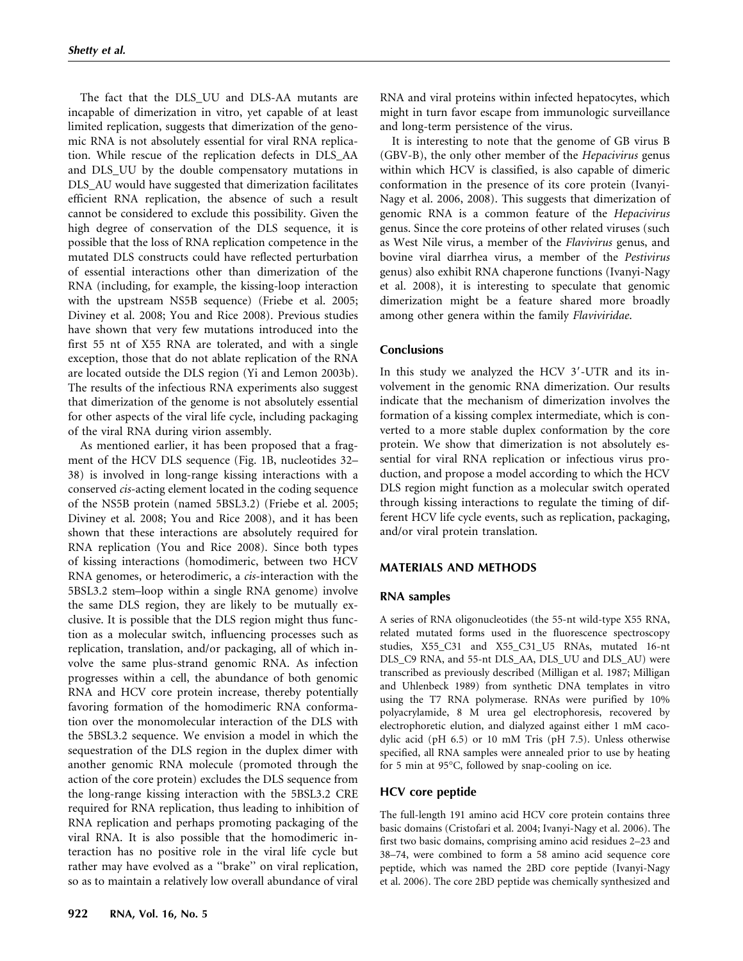The fact that the DLS\_UU and DLS-AA mutants are incapable of dimerization in vitro, yet capable of at least limited replication, suggests that dimerization of the genomic RNA is not absolutely essential for viral RNA replication. While rescue of the replication defects in DLS\_AA and DLS\_UU by the double compensatory mutations in DLS\_AU would have suggested that dimerization facilitates efficient RNA replication, the absence of such a result cannot be considered to exclude this possibility. Given the high degree of conservation of the DLS sequence, it is possible that the loss of RNA replication competence in the mutated DLS constructs could have reflected perturbation of essential interactions other than dimerization of the RNA (including, for example, the kissing-loop interaction with the upstream NS5B sequence) (Friebe et al. 2005; Diviney et al. 2008; You and Rice 2008). Previous studies have shown that very few mutations introduced into the first 55 nt of X55 RNA are tolerated, and with a single exception, those that do not ablate replication of the RNA are located outside the DLS region (Yi and Lemon 2003b). The results of the infectious RNA experiments also suggest that dimerization of the genome is not absolutely essential for other aspects of the viral life cycle, including packaging of the viral RNA during virion assembly.

As mentioned earlier, it has been proposed that a fragment of the HCV DLS sequence (Fig. 1B, nucleotides 32– 38) is involved in long-range kissing interactions with a conserved cis-acting element located in the coding sequence of the NS5B protein (named 5BSL3.2) (Friebe et al. 2005; Diviney et al. 2008; You and Rice 2008), and it has been shown that these interactions are absolutely required for RNA replication (You and Rice 2008). Since both types of kissing interactions (homodimeric, between two HCV RNA genomes, or heterodimeric, a cis-interaction with the 5BSL3.2 stem–loop within a single RNA genome) involve the same DLS region, they are likely to be mutually exclusive. It is possible that the DLS region might thus function as a molecular switch, influencing processes such as replication, translation, and/or packaging, all of which involve the same plus-strand genomic RNA. As infection progresses within a cell, the abundance of both genomic RNA and HCV core protein increase, thereby potentially favoring formation of the homodimeric RNA conformation over the monomolecular interaction of the DLS with the 5BSL3.2 sequence. We envision a model in which the sequestration of the DLS region in the duplex dimer with another genomic RNA molecule (promoted through the action of the core protein) excludes the DLS sequence from the long-range kissing interaction with the 5BSL3.2 CRE required for RNA replication, thus leading to inhibition of RNA replication and perhaps promoting packaging of the viral RNA. It is also possible that the homodimeric interaction has no positive role in the viral life cycle but rather may have evolved as a ''brake'' on viral replication, so as to maintain a relatively low overall abundance of viral RNA and viral proteins within infected hepatocytes, which might in turn favor escape from immunologic surveillance and long-term persistence of the virus.

It is interesting to note that the genome of GB virus B (GBV-B), the only other member of the Hepacivirus genus within which HCV is classified, is also capable of dimeric conformation in the presence of its core protein (Ivanyi-Nagy et al. 2006, 2008). This suggests that dimerization of genomic RNA is a common feature of the Hepacivirus genus. Since the core proteins of other related viruses (such as West Nile virus, a member of the Flavivirus genus, and bovine viral diarrhea virus, a member of the Pestivirus genus) also exhibit RNA chaperone functions (Ivanyi-Nagy et al. 2008), it is interesting to speculate that genomic dimerization might be a feature shared more broadly among other genera within the family Flaviviridae.

## **Conclusions**

In this study we analyzed the HCV  $3'$ -UTR and its involvement in the genomic RNA dimerization. Our results indicate that the mechanism of dimerization involves the formation of a kissing complex intermediate, which is converted to a more stable duplex conformation by the core protein. We show that dimerization is not absolutely essential for viral RNA replication or infectious virus production, and propose a model according to which the HCV DLS region might function as a molecular switch operated through kissing interactions to regulate the timing of different HCV life cycle events, such as replication, packaging, and/or viral protein translation.

## MATERIALS AND METHODS

## RNA samples

A series of RNA oligonucleotides (the 55-nt wild-type X55 RNA, related mutated forms used in the fluorescence spectroscopy studies, X55\_C31 and X55\_C31\_U5 RNAs, mutated 16-nt DLS\_C9 RNA, and 55-nt DLS\_AA, DLS\_UU and DLS\_AU) were transcribed as previously described (Milligan et al. 1987; Milligan and Uhlenbeck 1989) from synthetic DNA templates in vitro using the T7 RNA polymerase. RNAs were purified by 10% polyacrylamide, 8 M urea gel electrophoresis, recovered by electrophoretic elution, and dialyzed against either 1 mM cacodylic acid (pH 6.5) or 10 mM Tris (pH 7.5). Unless otherwise specified, all RNA samples were annealed prior to use by heating for 5 min at 95°C, followed by snap-cooling on ice.

## HCV core peptide

The full-length 191 amino acid HCV core protein contains three basic domains (Cristofari et al. 2004; Ivanyi-Nagy et al. 2006). The first two basic domains, comprising amino acid residues 2–23 and 38–74, were combined to form a 58 amino acid sequence core peptide, which was named the 2BD core peptide (Ivanyi-Nagy et al. 2006). The core 2BD peptide was chemically synthesized and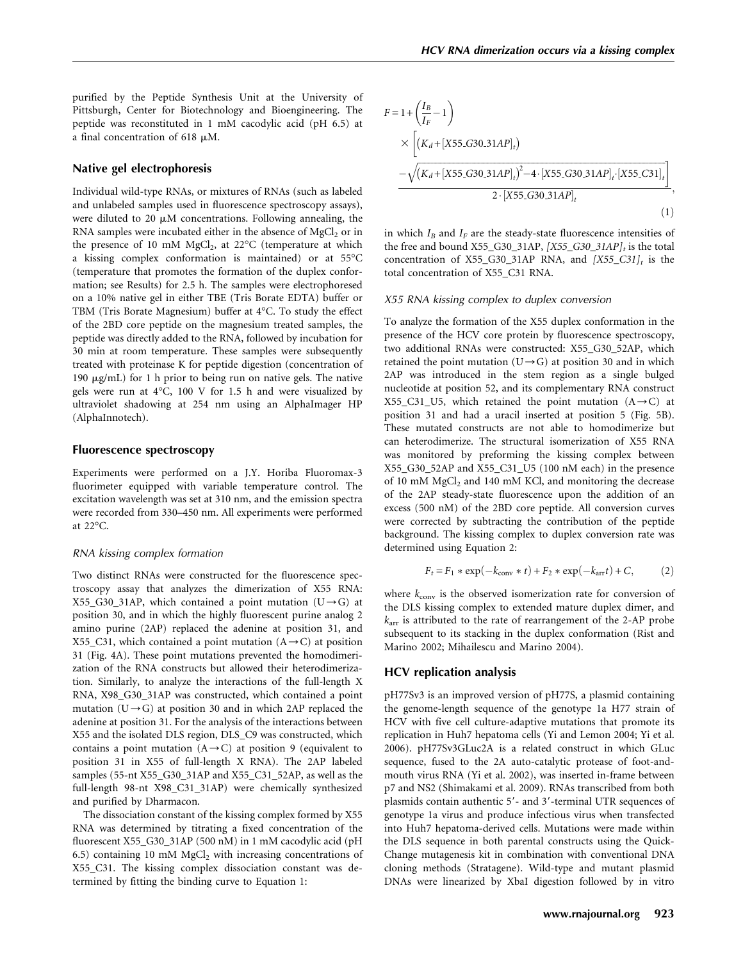purified by the Peptide Synthesis Unit at the University of Pittsburgh, Center for Biotechnology and Bioengineering. The peptide was reconstituted in 1 mM cacodylic acid (pH 6.5) at a final concentration of 618  $\mu$ M.

#### Native gel electrophoresis

Individual wild-type RNAs, or mixtures of RNAs (such as labeled and unlabeled samples used in fluorescence spectroscopy assays), were diluted to 20  $\mu$ M concentrations. Following annealing, the RNA samples were incubated either in the absence of  $MgCl<sub>2</sub>$  or in the presence of 10 mM  $MgCl<sub>2</sub>$ , at 22°C (temperature at which a kissing complex conformation is maintained) or at 55°C (temperature that promotes the formation of the duplex conformation; see Results) for 2.5 h. The samples were electrophoresed on a 10% native gel in either TBE (Tris Borate EDTA) buffer or TBM (Tris Borate Magnesium) buffer at 4°C. To study the effect of the 2BD core peptide on the magnesium treated samples, the peptide was directly added to the RNA, followed by incubation for 30 min at room temperature. These samples were subsequently treated with proteinase K for peptide digestion (concentration of 190  $\mu$ g/mL) for 1 h prior to being run on native gels. The native gels were run at 4°C, 100 V for 1.5 h and were visualized by ultraviolet shadowing at 254 nm using an AlphaImager HP (AlphaInnotech).

#### Fluorescence spectroscopy

Experiments were performed on a J.Y. Horiba Fluoromax-3 fluorimeter equipped with variable temperature control. The excitation wavelength was set at 310 nm, and the emission spectra were recorded from 330–450 nm. All experiments were performed at 22°C.

#### RNA kissing complex formation

Two distinct RNAs were constructed for the fluorescence spectroscopy assay that analyzes the dimerization of X55 RNA: X55\_G30\_31AP, which contained a point mutation  $(U \rightarrow G)$  at position 30, and in which the highly fluorescent purine analog 2 amino purine (2AP) replaced the adenine at position 31, and X55\_C31, which contained a point mutation  $(A \rightarrow C)$  at position 31 (Fig. 4A). These point mutations prevented the homodimerization of the RNA constructs but allowed their heterodimerization. Similarly, to analyze the interactions of the full-length X RNA, X98\_G30\_31AP was constructed, which contained a point mutation ( $U \rightarrow G$ ) at position 30 and in which 2AP replaced the adenine at position 31. For the analysis of the interactions between X55 and the isolated DLS region, DLS\_C9 was constructed, which contains a point mutation  $(A \rightarrow C)$  at position 9 (equivalent to position 31 in X55 of full-length X RNA). The 2AP labeled samples (55-nt X55\_G30\_31AP and X55\_C31\_52AP, as well as the full-length 98-nt X98\_C31\_31AP) were chemically synthesized and purified by Dharmacon.

The dissociation constant of the kissing complex formed by X55 RNA was determined by titrating a fixed concentration of the fluorescent X55\_G30\_31AP (500 nM) in 1 mM cacodylic acid (pH 6.5) containing 10 mM  $MgCl<sub>2</sub>$  with increasing concentrations of X55\_C31. The kissing complex dissociation constant was determined by fitting the binding curve to Equation 1:

$$
F = 1 + \left(\frac{I_B}{I_F} - 1\right)
$$
  
\n
$$
\times \left[ \left(K_d + [X55_G30_31AP]_t \right) - \sqrt{\left(K_d + [X55_G30_31AP]_t\right)^2 - 4 \cdot [X55_G30_31AP]_t \cdot [X55_G31]_t} \right]
$$
  
\n
$$
2 \cdot [X55_G30_31AP]_t
$$
 (1)

in which  $I_B$  and  $I_F$  are the steady-state fluorescence intensities of the free and bound X55\_G30\_31AP,  $[X55_G30_31AP]_t$  is the total concentration of X55\_G30\_31AP RNA, and  $[X55_C31]_t$  is the total concentration of X55\_C31 RNA.

#### X55 RNA kissing complex to duplex conversion

To analyze the formation of the X55 duplex conformation in the presence of the HCV core protein by fluorescence spectroscopy, two additional RNAs were constructed: X55\_G30\_52AP, which retained the point mutation  $(U \rightarrow G)$  at position 30 and in which 2AP was introduced in the stem region as a single bulged nucleotide at position 52, and its complementary RNA construct X55\_C31\_U5, which retained the point mutation  $(A \rightarrow C)$  at position 31 and had a uracil inserted at position 5 (Fig. 5B). These mutated constructs are not able to homodimerize but can heterodimerize. The structural isomerization of X55 RNA was monitored by preforming the kissing complex between X55\_G30\_52AP and X55\_C31\_U5 (100 nM each) in the presence of 10 mM MgCl<sub>2</sub> and 140 mM KCl, and monitoring the decrease of the 2AP steady-state fluorescence upon the addition of an excess (500 nM) of the 2BD core peptide. All conversion curves were corrected by subtracting the contribution of the peptide background. The kissing complex to duplex conversion rate was determined using Equation 2:

$$
F_t = F_1 * \exp(-k_{\text{conv}} * t) + F_2 * \exp(-k_{\text{arr}} t) + C,\tag{2}
$$

where  $k_{\text{conv}}$  is the observed isomerization rate for conversion of the DLS kissing complex to extended mature duplex dimer, and  $k<sub>arr</sub>$  is attributed to the rate of rearrangement of the 2-AP probe subsequent to its stacking in the duplex conformation (Rist and Marino 2002; Mihailescu and Marino 2004).

### HCV replication analysis

pH77Sv3 is an improved version of pH77S, a plasmid containing the genome-length sequence of the genotype 1a H77 strain of HCV with five cell culture-adaptive mutations that promote its replication in Huh7 hepatoma cells (Yi and Lemon 2004; Yi et al. 2006). pH77Sv3GLuc2A is a related construct in which GLuc sequence, fused to the 2A auto-catalytic protease of foot-andmouth virus RNA (Yi et al. 2002), was inserted in-frame between p7 and NS2 (Shimakami et al. 2009). RNAs transcribed from both plasmids contain authentic 5'- and 3'-terminal UTR sequences of genotype 1a virus and produce infectious virus when transfected into Huh7 hepatoma-derived cells. Mutations were made within the DLS sequence in both parental constructs using the Quick-Change mutagenesis kit in combination with conventional DNA cloning methods (Stratagene). Wild-type and mutant plasmid DNAs were linearized by XbaI digestion followed by in vitro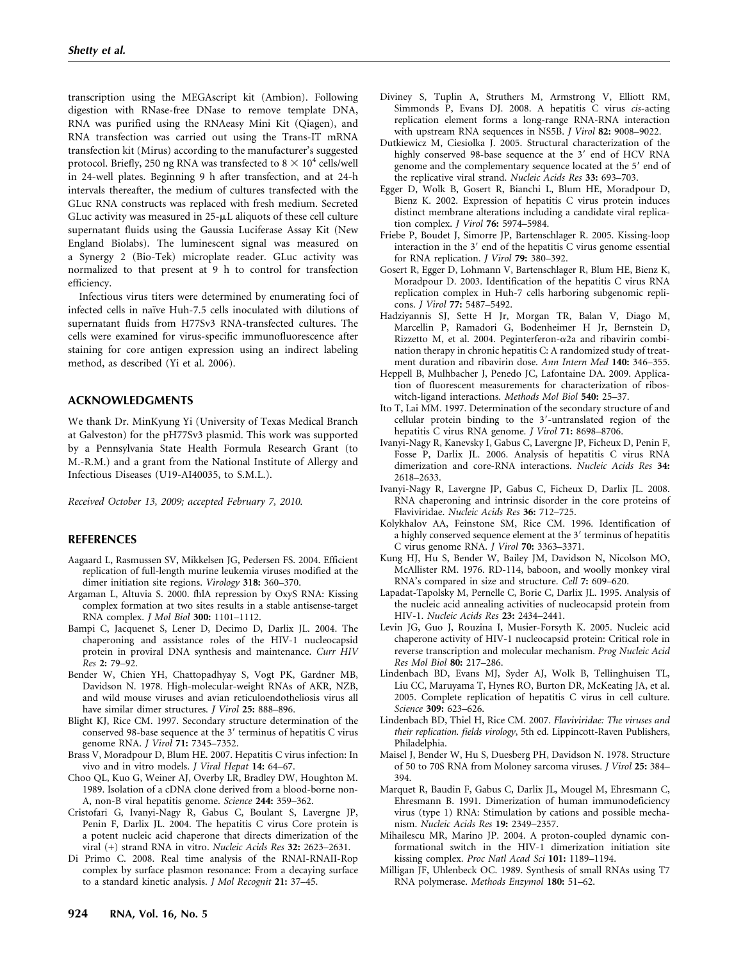transcription using the MEGAscript kit (Ambion). Following digestion with RNase-free DNase to remove template DNA, RNA was purified using the RNAeasy Mini Kit (Qiagen), and RNA transfection was carried out using the Trans-IT mRNA transfection kit (Mirus) according to the manufacturer's suggested protocol. Briefly, 250 ng RNA was transfected to  $8 \times 10^4$  cells/well in 24-well plates. Beginning 9 h after transfection, and at 24-h intervals thereafter, the medium of cultures transfected with the GLuc RNA constructs was replaced with fresh medium. Secreted GLuc activity was measured in  $25$ - $\mu$ L aliquots of these cell culture supernatant fluids using the Gaussia Luciferase Assay Kit (New England Biolabs). The luminescent signal was measured on a Synergy 2 (Bio-Tek) microplate reader. GLuc activity was normalized to that present at 9 h to control for transfection efficiency.

Infectious virus titers were determined by enumerating foci of infected cells in naïve Huh-7.5 cells inoculated with dilutions of supernatant fluids from H77Sv3 RNA-transfected cultures. The cells were examined for virus-specific immunofluorescence after staining for core antigen expression using an indirect labeling method, as described (Yi et al. 2006).

### ACKNOWLEDGMENTS

We thank Dr. MinKyung Yi (University of Texas Medical Branch at Galveston) for the pH77Sv3 plasmid. This work was supported by a Pennsylvania State Health Formula Research Grant (to M.-R.M.) and a grant from the National Institute of Allergy and Infectious Diseases (U19-AI40035, to S.M.L.).

Received October 13, 2009; accepted February 7, 2010.

#### REFERENCES

- Aagaard L, Rasmussen SV, Mikkelsen JG, Pedersen FS. 2004. Efficient replication of full-length murine leukemia viruses modified at the dimer initiation site regions. Virology 318: 360–370.
- Argaman L, Altuvia S. 2000. fhlA repression by OxyS RNA: Kissing complex formation at two sites results in a stable antisense-target RNA complex. J Mol Biol 300: 1101–1112.
- Bampi C, Jacquenet S, Lener D, Decimo D, Darlix JL. 2004. The chaperoning and assistance roles of the HIV-1 nucleocapsid protein in proviral DNA synthesis and maintenance. Curr HIV Res 2: 79–92.
- Bender W, Chien YH, Chattopadhyay S, Vogt PK, Gardner MB, Davidson N. 1978. High-molecular-weight RNAs of AKR, NZB, and wild mouse viruses and avian reticuloendotheliosis virus all have similar dimer structures. J Virol 25: 888-896.
- Blight KJ, Rice CM. 1997. Secondary structure determination of the conserved 98-base sequence at the  $3'$  terminus of hepatitis C virus genome RNA. J Virol 71: 7345–7352.
- Brass V, Moradpour D, Blum HE. 2007. Hepatitis C virus infection: In vivo and in vitro models. J Viral Hepat 14: 64–67.
- Choo QL, Kuo G, Weiner AJ, Overby LR, Bradley DW, Houghton M. 1989. Isolation of a cDNA clone derived from a blood-borne non-A, non-B viral hepatitis genome. Science 244: 359–362.
- Cristofari G, Ivanyi-Nagy R, Gabus C, Boulant S, Lavergne JP, Penin F, Darlix JL. 2004. The hepatitis C virus Core protein is a potent nucleic acid chaperone that directs dimerization of the viral (+) strand RNA in vitro. Nucleic Acids Res 32: 2623–2631.
- Di Primo C. 2008. Real time analysis of the RNAI-RNAII-Rop complex by surface plasmon resonance: From a decaying surface to a standard kinetic analysis. J Mol Recognit 21: 37–45.
- Diviney S, Tuplin A, Struthers M, Armstrong V, Elliott RM, Simmonds P, Evans DJ. 2008. A hepatitis C virus cis-acting replication element forms a long-range RNA-RNA interaction with upstream RNA sequences in NS5B. J Virol 82: 9008–9022.
- Dutkiewicz M, Ciesiolka J. 2005. Structural characterization of the highly conserved 98-base sequence at the  $3'$  end of HCV RNA genome and the complementary sequence located at the 5' end of the replicative viral strand. Nucleic Acids Res 33: 693–703.
- Egger D, Wolk B, Gosert R, Bianchi L, Blum HE, Moradpour D, Bienz K. 2002. Expression of hepatitis C virus protein induces distinct membrane alterations including a candidate viral replication complex. J Virol 76: 5974–5984.
- Friebe P, Boudet J, Simorre JP, Bartenschlager R. 2005. Kissing-loop interaction in the  $3'$  end of the hepatitis C virus genome essential for RNA replication. *J Virol* 79: 380-392.
- Gosert R, Egger D, Lohmann V, Bartenschlager R, Blum HE, Bienz K, Moradpour D. 2003. Identification of the hepatitis C virus RNA replication complex in Huh-7 cells harboring subgenomic replicons. J Virol 77: 5487–5492.
- Hadziyannis SJ, Sette H Jr, Morgan TR, Balan V, Diago M, Marcellin P, Ramadori G, Bodenheimer H Jr, Bernstein D, Rizzetto M, et al. 2004. Peginterferon- $\alpha$ 2a and ribavirin combination therapy in chronic hepatitis C: A randomized study of treatment duration and ribavirin dose. Ann Intern Med 140: 346–355.
- Heppell B, Mulhbacher J, Penedo JC, Lafontaine DA. 2009. Application of fluorescent measurements for characterization of riboswitch-ligand interactions. Methods Mol Biol 540: 25–37.
- Ito T, Lai MM. 1997. Determination of the secondary structure of and cellular protein binding to the  $3'$ -untranslated region of the hepatitis C virus RNA genome. J Virol 71: 8698–8706.
- Ivanyi-Nagy R, Kanevsky I, Gabus C, Lavergne JP, Ficheux D, Penin F, Fosse P, Darlix JL. 2006. Analysis of hepatitis C virus RNA dimerization and core-RNA interactions. Nucleic Acids Res 34: 2618–2633.
- Ivanyi-Nagy R, Lavergne JP, Gabus C, Ficheux D, Darlix JL. 2008. RNA chaperoning and intrinsic disorder in the core proteins of Flaviviridae. Nucleic Acids Res 36: 712–725.
- Kolykhalov AA, Feinstone SM, Rice CM. 1996. Identification of a highly conserved sequence element at the 3' terminus of hepatitis C virus genome RNA. J Virol 70: 3363–3371.
- Kung HJ, Hu S, Bender W, Bailey JM, Davidson N, Nicolson MO, McAllister RM. 1976. RD-114, baboon, and woolly monkey viral RNA's compared in size and structure. Cell 7: 609–620.
- Lapadat-Tapolsky M, Pernelle C, Borie C, Darlix JL. 1995. Analysis of the nucleic acid annealing activities of nucleocapsid protein from HIV-1. Nucleic Acids Res 23: 2434–2441.
- Levin JG, Guo J, Rouzina I, Musier-Forsyth K. 2005. Nucleic acid chaperone activity of HIV-1 nucleocapsid protein: Critical role in reverse transcription and molecular mechanism. Prog Nucleic Acid Res Mol Biol 80: 217–286.
- Lindenbach BD, Evans MJ, Syder AJ, Wolk B, Tellinghuisen TL, Liu CC, Maruyama T, Hynes RO, Burton DR, McKeating JA, et al. 2005. Complete replication of hepatitis C virus in cell culture. Science 309: 623–626.
- Lindenbach BD, Thiel H, Rice CM. 2007. Flaviviridae: The viruses and their replication. fields virology, 5th ed. Lippincott-Raven Publishers, Philadelphia.
- Maisel J, Bender W, Hu S, Duesberg PH, Davidson N. 1978. Structure of 50 to 70S RNA from Moloney sarcoma viruses. J Virol 25: 384– 394.
- Marquet R, Baudin F, Gabus C, Darlix JL, Mougel M, Ehresmann C, Ehresmann B. 1991. Dimerization of human immunodeficiency virus (type 1) RNA: Stimulation by cations and possible mechanism. Nucleic Acids Res 19: 2349–2357.
- Mihailescu MR, Marino JP. 2004. A proton-coupled dynamic conformational switch in the HIV-1 dimerization initiation site kissing complex. Proc Natl Acad Sci 101: 1189–1194.
- Milligan JF, Uhlenbeck OC. 1989. Synthesis of small RNAs using T7 RNA polymerase. Methods Enzymol 180: 51–62.